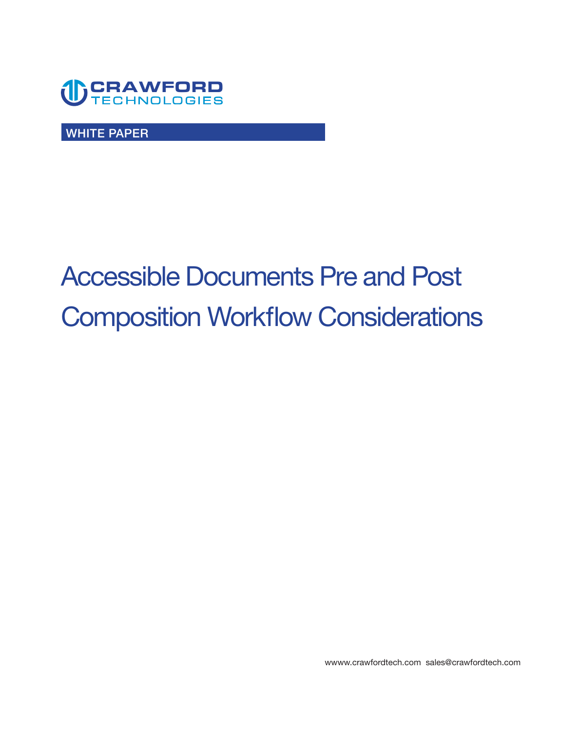

**WHITE PAPER** 

# **Accessible Documents Pre and Post Composition Workflow Considerations**

**[wwww.crawfordtech.com](https://wwww.crawfordtech.com) [sales@crawfordtech.com](mailto:sales@crawfordtech.com)**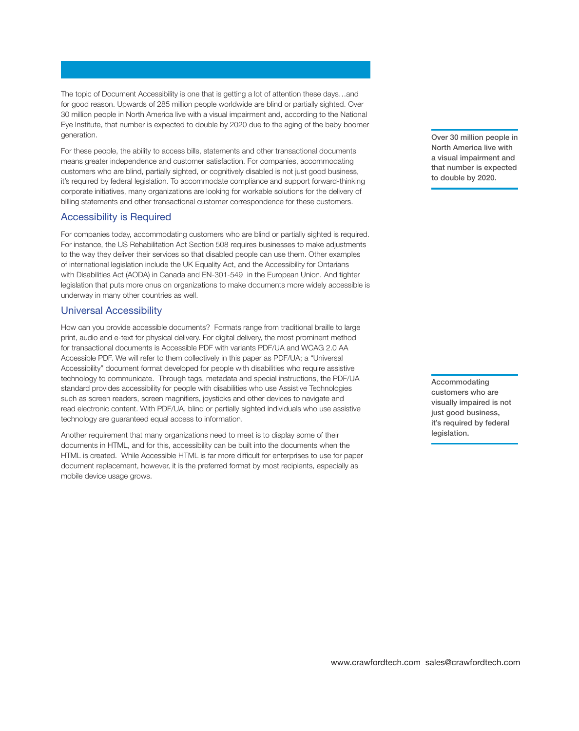**The topic of Document Accessibility is one that is getting a lot of attention these days…and for good reason. Upwards of 285 million people worldwide are blind or partially sighted. Over 30 million people in North America live with a visual impairment and, according to the National Eye Institute, that number is expected to double by 2020 due to the aging of the baby boomer generation.** 

**For these people, the ability to access bills, statements and other transactional documents means greater independence and customer satisfaction. For companies, accommodating customers who are blind, partially sighted, or cognitively disabled is not just good business, it's required by federal legislation. To accommodate compliance and support forward-thinking corporate initiatives, many organizations are looking for workable solutions for the delivery of billing statements and other transactional customer correspondence for these customers.** 

## **Accessibility is Required**

**For companies today, accommodating customers who are blind or partially sighted is required. For instance, the US Rehabilitation Act Section 508 requires businesses to make adjustments to the way they deliver their services so that disabled people can use them. Other examples of international legislation include the UK Equality Act, and the Accessibility for Ontarians with Disabilities Act (AODA) in Canada and EN-301-549 in the European Union. And tighter legislation that puts more onus on organizations to make documents more widely accessible is underway in many other countries as well.** 

#### **Universal Accessibility**

**How can you provide accessible documents? Formats range from traditional braille to large print, audio and e-text for physical delivery. For digital delivery, the most prominent method for transactional documents is Accessible PDF with variants PDF/UA and WCAG 2.0 AA Accessible PDF. We will refer to them collectively in this paper as PDF/UA; a "Universal Accessibility" document format developed for people with disabilities who require assistive technology to communicate. Through tags, metadata and special instructions, the PDF/UA standard provides accessibility for people with disabilities who use Assistive Technologies such as screen readers, screen magnifers, joysticks and other devices to navigate and read electronic content. With PDF/UA, blind or partially sighted individuals who use assistive technology are guaranteed equal access to information.** 

**Another requirement that many organizations need to meet is to display some of their documents in HTML, and for this, accessibility can be built into the documents when the HTML is created. While Accessible HTML is far more diffcult for enterprises to use for paper document replacement, however, it is the preferred format by most recipients, especially as mobile device usage grows.** 

**Over 30 million people in North America live with a visual impairment and that number is expected to double by 2020.** 

**Accommodating customers who are visually impaired is not just good business, it's required by federal legislation.**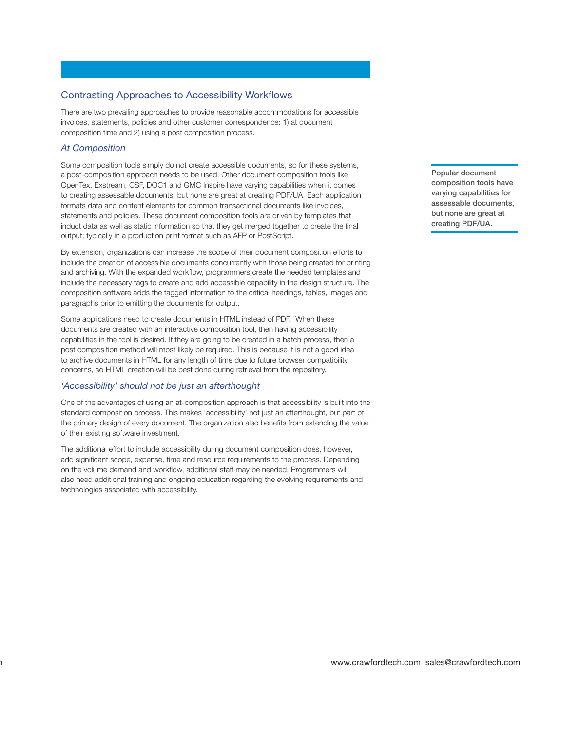# **Contrasting Approaches to Accessibility Workfows**

**There are two prevailing approaches to provide reasonable accommodations for accessible invoices, statements, policies and other customer correspondence: 1) at document composition time and 2) using a post composition process.** 

## *At Composition*

 $\mathbf{a}$ 

**Some composition tools simply do not create accessible documents, so for these systems, a post-composition approach needs to be used. Other document composition tools like OpenText Exstream, CSF, DOC1 and GMC Inspire have varying capabilities when it comes to creating assessable documents, but none are great at creating PDF/UA. Each application formats data and content elements for common transactional documents like invoices, statements and policies. These document composition tools are driven by templates that induct data as well as static information so that they get merged together to create the fnal output; typically in a production print format such as AFP or PostScript.** 

**By extension, organizations can increase the scope of their document composition efforts to include the creation of accessible documents concurrently with those being created for printing**  and archiving. With the expanded workflow, programmers create the needed templates and **include the necessary tags to create and add accessible capability in the design structure. The composition software adds the tagged information to the critical headings, tables, images and paragraphs prior to emitting the documents for output.** 

**Some applications need to create documents in HTML instead of PDF. When these documents are created with an interactive composition tool, then having accessibility capabilities in the tool is desired. If they are going to be created in a batch process, then a post composition method will most likely be required. This is because it is not a good idea to archive documents in HTML for any length of time due to future browser compatibility concerns, so HTML creation will be best done during retrieval from the repository.** 

# *'Accessibility' should not be just an afterthought*

**One of the advantages of using an at-composition approach is that accessibility is built into the standard composition process. This makes 'accessibility' not just an afterthought, but part of the primary design of every document. The organization also benefts from extending the value of their existing software investment.** 

**The additional effort to include accessibility during document composition does, however, add signifcant scope, expense, time and resource requirements to the process. Depending on the volume demand and workfow, additional staff may be needed. Programmers will also need additional training and ongoing education regarding the evolving requirements and technologies associated with accessibility.** 

**Popular document composition tools have varying capabilities for assessable documents, but none are great at creating PDF/UA.**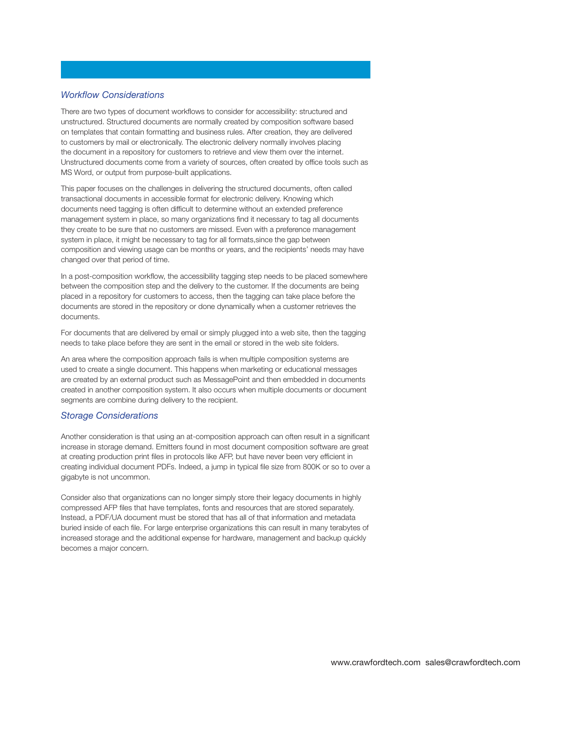#### *Workfow Considerations*

There are two types of document workflows to consider for accessibility: structured and **unstructured. Structured documents are normally created by composition software based on templates that contain formatting and business rules. After creation, they are delivered to customers by mail or electronically. The electronic delivery normally involves placing the document in a repository for customers to retrieve and view them over the internet.**  Unstructured documents come from a variety of sources, often created by office tools such as **MS Word, or output from purpose-built applications.** 

**This paper focuses on the challenges in delivering the structured documents, often called transactional documents in accessible format for electronic delivery. Knowing which documents need tagging is often diffcult to determine without an extended preference management system in place, so many organizations fnd it necessary to tag all documents they create to be sure that no customers are missed. Even with a preference management system in place, it might be necessary to tag for all formats,since the gap between composition and viewing usage can be months or years, and the recipients' needs may have changed over that period of time.** 

**In a post-composition workfow, the accessibility tagging step needs to be placed somewhere between the composition step and the delivery to the customer. If the documents are being placed in a repository for customers to access, then the tagging can take place before the documents are stored in the repository or done dynamically when a customer retrieves the documents.** 

**For documents that are delivered by email or simply plugged into a web site, then the tagging needs to take place before they are sent in the email or stored in the web site folders.** 

**An area where the composition approach fails is when multiple composition systems are used to create a single document. This happens when marketing or educational messages are created by an external product such as MessagePoint and then embedded in documents created in another composition system. It also occurs when multiple documents or document segments are combine during delivery to the recipient.** 

#### *Storage Considerations*

**Another consideration is that using an at-composition approach can often result in a signifcant increase in storage demand. Emitters found in most document composition software are great**  at creating production print files in protocols like AFP, but have never been very efficient in **creating individual document PDFs. Indeed, a jump in typical fle size from 800K or so to over a gigabyte is not uncommon.** 

**Consider also that organizations can no longer simply store their legacy documents in highly compressed AFP fles that have templates, fonts and resources that are stored separately. Instead, a PDF/UA document must be stored that has all of that information and metadata buried inside of each fle. For large enterprise organizations this can result in many terabytes of increased storage and the additional expense for hardware, management and backup quickly becomes a major concern.**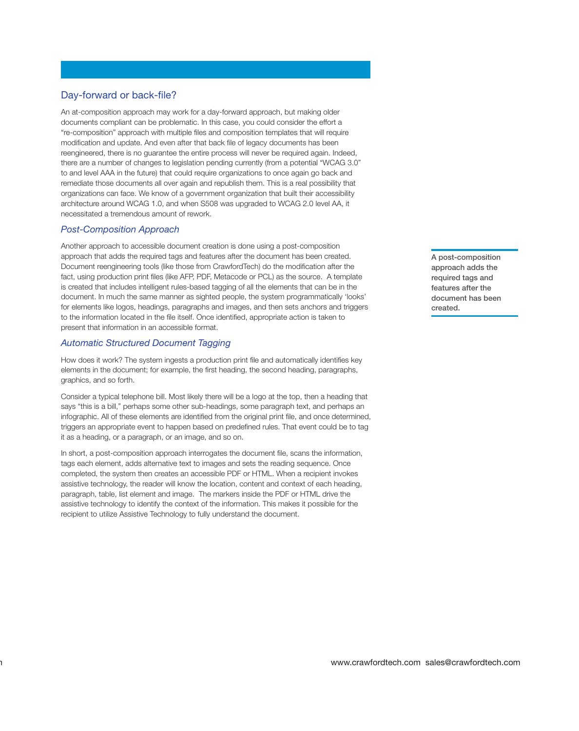# **Day-forward or back-fle?**

**An at-composition approach may work for a day-forward approach, but making older documents compliant can be problematic. In this case, you could consider the effort a "re-composition" approach with multiple fles and composition templates that will require modifcation and update. And even after that back fle of legacy documents has been reengineered, there is no guarantee the entire process will never be required again. Indeed, there are a number of changes to legislation pending currently (from a potential "WCAG 3.0" to and level AAA in the future) that could require organizations to once again go back and remediate those documents all over again and republish them. This is a real possibility that organizations can face. We know of a government organization that built their accessibility architecture around WCAG 1.0, and when S508 was upgraded to WCAG 2.0 level AA, it necessitated a tremendous amount of rework.** 

## *Post-Composition Approach*

 $\mathbf{a}$ 

**Another approach to accessible document creation is done using a post-composition approach that adds the required tags and features after the document has been created. Document reengineering tools (like those from CrawfordTech) do the modifcation after the fact, using production print fles (like AFP, PDF, Metacode or PCL) as the source. A template is created that includes intelligent rules-based tagging of all the elements that can be in the document. In much the same manner as sighted people, the system programmatically 'looks' for elements like logos, headings, paragraphs and images, and then sets anchors and triggers to the information located in the fle itself. Once identifed, appropriate action is taken to present that information in an accessible format.** 

## *Automatic Structured Document Tagging*

**How does it work? The system ingests a production print fle and automatically identifes key elements in the document; for example, the frst heading, the second heading, paragraphs, graphics, and so forth.** 

**Consider a typical telephone bill. Most likely there will be a logo at the top, then a heading that says "this is a bill," perhaps some other sub-headings, some paragraph text, and perhaps an infographic. All of these elements are identifed from the original print fle, and once determined, triggers an appropriate event to happen based on predefned rules. That event could be to tag it as a heading, or a paragraph, or an image, and so on.** 

**In short, a post-composition approach interrogates the document fle, scans the information, tags each element, adds alternative text to images and sets the reading sequence. Once completed, the system then creates an accessible PDF or HTML. When a recipient invokes assistive technology, the reader will know the location, content and context of each heading, paragraph, table, list element and image. The markers inside the PDF or HTML drive the assistive technology to identify the context of the information. This makes it possible for the recipient to utilize Assistive Technology to fully understand the document.** 

**A post-composition approach adds the required tags and features after the document has been created.**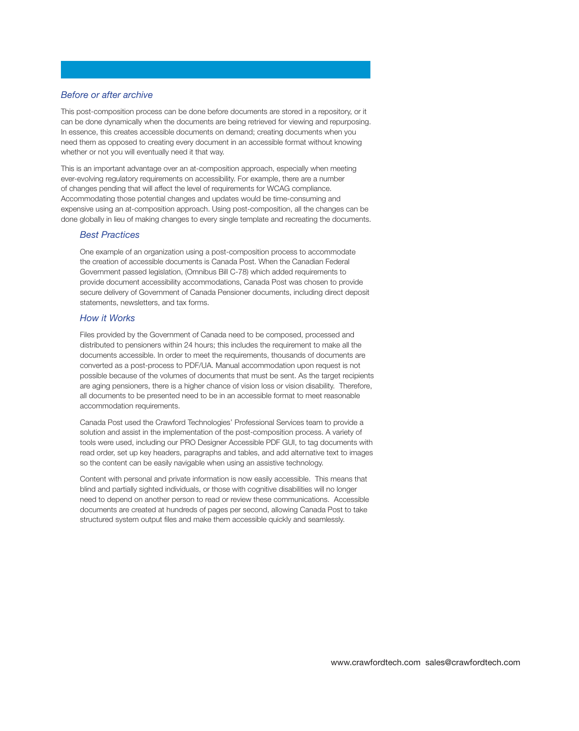#### *Before or after archive*

**This post-composition process can be done before documents are stored in a repository, or it can be done dynamically when the documents are being retrieved for viewing and repurposing. In essence, this creates accessible documents on demand; creating documents when you need them as opposed to creating every document in an accessible format without knowing whether or not you will eventually need it that way.** 

**This is an important advantage over an at-composition approach, especially when meeting ever-evolving regulatory requirements on accessibility. For example, there are a number of changes pending that will affect the level of requirements for WCAG compliance. Accommodating those potential changes and updates would be time-consuming and expensive using an at-composition approach. Using post-composition, all the changes can be done globally in lieu of making changes to every single template and recreating the documents.** 

#### *Best Practices*

**One example of an organization using a post-composition process to accommodate the creation of accessible documents is Canada Post. When the Canadian Federal Government passed legislation, (Omnibus Bill C-78) which added requirements to provide document accessibility accommodations, Canada Post was chosen to provide secure delivery of Government of Canada Pensioner documents, including direct deposit statements, newsletters, and tax forms.** 

#### *How it Works*

**Files provided by the Government of Canada need to be composed, processed and distributed to pensioners within 24 hours; this includes the requirement to make all the documents accessible. In order to meet the requirements, thousands of documents are converted as a post-process to PDF/UA. Manual accommodation upon request is not possible because of the volumes of documents that must be sent. As the target recipients are aging pensioners, there is a higher chance of vision loss or vision disability. Therefore, all documents to be presented need to be in an accessible format to meet reasonable accommodation requirements.** 

**Canada Post used the Crawford Technologies' Professional Services team to provide a solution and assist in the implementation of the post-composition process. A variety of tools were used, including our PRO Designer Accessible PDF GUI, to tag documents with read order, set up key headers, paragraphs and tables, and add alternative text to images so the content can be easily navigable when using an assistive technology. Content with personal and private information is now easily accessible. This means that** 

**blind and partially sighted individuals, or those with cognitive disabilities will no longer need to depend on another person to read or review these communications. Accessible documents are created at hundreds of pages per second, allowing Canada Post to take structured system output fles and make them accessible quickly and seamlessly.**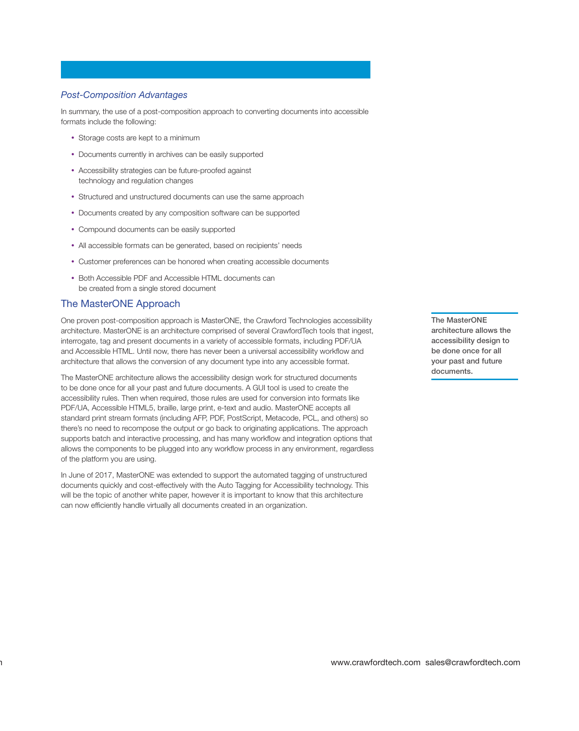#### *Post-Composition Advantages*

**In summary, the use of a post-composition approach to converting documents into accessible formats include the following:** 

- **• Storage costs are kept to a minimum**
- **• Documents currently in archives can be easily supported**
- **• Accessibility strategies can be future-proofed against technology and regulation changes**
- **• Structured and unstructured documents can use the same approach**
- **• Documents created by any composition software can be supported**
- **• Compound documents can be easily supported**
- **• All accessible formats can be generated, based on recipients' needs**
- **• Customer preferences can be honored when creating accessible documents**
- **• Both Accessible PDF and Accessible HTML documents can be created from a single stored document**

## **The MasterONE Approach**

 $\mathbf{a}$ 

**One proven post-composition approach is MasterONE, the Crawford Technologies accessibility architecture. MasterONE is an architecture comprised of several CrawfordTech tools that ingest, interrogate, tag and present documents in a variety of accessible formats, including PDF/UA and Accessible HTML. Until now, there has never been a universal accessibility workfow and architecture that allows the conversion of any document type into any accessible format.** 

**The MasterONE architecture allows the accessibility design work for structured documents to be done once for all your past and future documents. A GUI tool is used to create the accessibility rules. Then when required, those rules are used for conversion into formats like PDF/UA, Accessible HTML5, braille, large print, e-text and audio. MasterONE accepts all standard print stream formats (including AFP, PDF, PostScript, Metacode, PCL, and others) so there's no need to recompose the output or go back to originating applications. The approach supports batch and interactive processing, and has many workfow and integration options that allows the components to be plugged into any workfow process in any environment, regardless of the platform you are using.** 

**In June of 2017, MasterONE was extended to support the automated tagging of unstructured documents quickly and cost-effectively with the Auto Tagging for Accessibility technology. This will be the topic of another white paper, however it is important to know that this architecture**  can now efficiently handle virtually all documents created in an organization.

**The MasterONE architecture allows the accessibility design to be done once for all your past and future documents.**